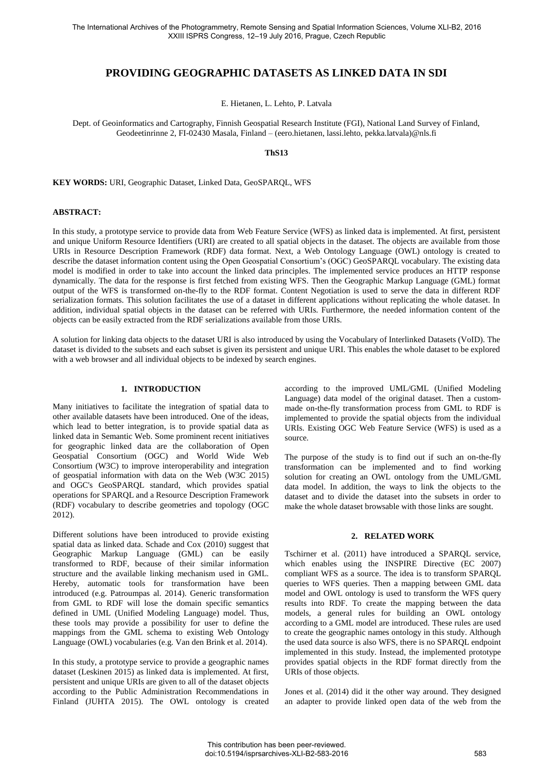# **PROVIDING GEOGRAPHIC DATASETS AS LINKED DATA IN SDI**

E. Hietanen, L. Lehto, P. Latvala

Dept. of Geoinformatics and Cartography, Finnish Geospatial Research Institute (FGI), National Land Survey of Finland, Geodeetinrinne 2, FI-02430 Masala, Finland – (eero.hietanen, lassi.lehto, pekka.latvala)@nls.fi

**ThS13**

**KEY WORDS:** URI, Geographic Dataset, Linked Data, GeoSPARQL, WFS

#### **ABSTRACT:**

In this study, a prototype service to provide data from Web Feature Service (WFS) as linked data is implemented. At first, persistent and unique Uniform Resource Identifiers (URI) are created to all spatial objects in the dataset. The objects are available from those URIs in Resource Description Framework (RDF) data format. Next, a Web Ontology Language (OWL) ontology is created to describe the dataset information content using the Open Geospatial Consortium's (OGC) GeoSPARQL vocabulary. The existing data model is modified in order to take into account the linked data principles. The implemented service produces an HTTP response dynamically. The data for the response is first fetched from existing WFS. Then the Geographic Markup Language (GML) format output of the WFS is transformed on-the-fly to the RDF format. Content Negotiation is used to serve the data in different RDF serialization formats. This solution facilitates the use of a dataset in different applications without replicating the whole dataset. In addition, individual spatial objects in the dataset can be referred with URIs. Furthermore, the needed information content of the objects can be easily extracted from the RDF serializations available from those URIs.

A solution for linking data objects to the dataset URI is also introduced by using the Vocabulary of Interlinked Datasets (VoID). The dataset is divided to the subsets and each subset is given its persistent and unique URI. This enables the whole dataset to be explored with a web browser and all individual objects to be indexed by search engines.

# **1. INTRODUCTION**

Many initiatives to facilitate the integration of spatial data to other available datasets have been introduced. One of the ideas, which lead to better integration, is to provide spatial data as linked data in Semantic Web. Some prominent recent initiatives for geographic linked data are the collaboration of Open Geospatial Consortium (OGC) and World Wide Web Consortium (W3C) to improve interoperability and integration of geospatial information with data on the Web (W3C 2015) and OGC's GeoSPARQL standard, which provides spatial operations for SPARQL and a Resource Description Framework (RDF) vocabulary to describe geometries and topology (OGC 2012).

Different solutions have been introduced to provide existing spatial data as linked data. Schade and Cox (2010) suggest that Geographic Markup Language (GML) can be easily transformed to RDF, because of their similar information structure and the available linking mechanism used in GML. Hereby, automatic tools for transformation have been introduced (e.g. Patroumpas al. 2014). Generic transformation from GML to RDF will lose the domain specific semantics defined in UML (Unified Modeling Language) model. Thus, these tools may provide a possibility for user to define the mappings from the GML schema to existing Web Ontology Language (OWL) vocabularies (e.g. Van den Brink et al. 2014).

In this study, a prototype service to provide a geographic names dataset (Leskinen 2015) as linked data is implemented. At first, persistent and unique URIs are given to all of the dataset objects according to the Public Administration Recommendations in Finland (JUHTA 2015). The OWL ontology is created according to the improved UML/GML (Unified Modeling Language) data model of the original dataset. Then a custommade on-the-fly transformation process from GML to RDF is implemented to provide the spatial objects from the individual URIs. Existing OGC Web Feature Service (WFS) is used as a source.

The purpose of the study is to find out if such an on-the-fly transformation can be implemented and to find working solution for creating an OWL ontology from the UML/GML data model. In addition, the ways to link the objects to the dataset and to divide the dataset into the subsets in order to make the whole dataset browsable with those links are sought.

#### **2. RELATED WORK**

Tschirner et al. (2011) have introduced a SPARQL service, which enables using the INSPIRE Directive (EC 2007) compliant WFS as a source. The idea is to transform SPARQL queries to WFS queries. Then a mapping between GML data model and OWL ontology is used to transform the WFS query results into RDF. To create the mapping between the data models, a general rules for building an OWL ontology according to a GML model are introduced. These rules are used to create the geographic names ontology in this study. Although the used data source is also WFS, there is no SPARQL endpoint implemented in this study. Instead, the implemented prototype provides spatial objects in the RDF format directly from the URIs of those objects.

Jones et al. (2014) did it the other way around. They designed an adapter to provide linked open data of the web from the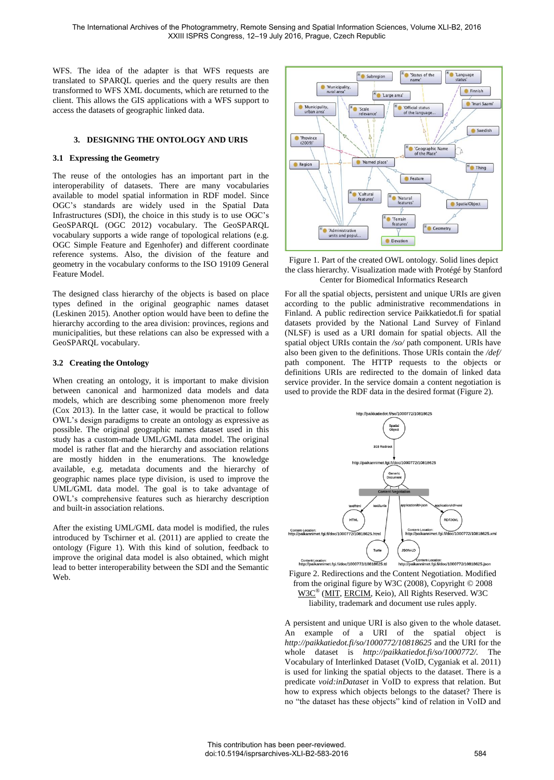WFS. The idea of the adapter is that WFS requests are translated to SPARQL queries and the query results are then transformed to WFS XML documents, which are returned to the client. This allows the GIS applications with a WFS support to access the datasets of geographic linked data.

#### **3. DESIGNING THE ONTOLOGY AND URIS**

#### **3.1 Expressing the Geometry**

The reuse of the ontologies has an important part in the interoperability of datasets. There are many vocabularies available to model spatial information in RDF model. Since OGC's standards are widely used in the Spatial Data Infrastructures (SDI), the choice in this study is to use OGC's GeoSPARQL (OGC 2012) vocabulary. The GeoSPARQL vocabulary supports a wide range of topological relations (e.g. OGC Simple Feature and Egenhofer) and different coordinate reference systems. Also, the division of the feature and geometry in the vocabulary conforms to the ISO 19109 General Feature Model.

The designed class hierarchy of the objects is based on place types defined in the original geographic names dataset (Leskinen 2015). Another option would have been to define the hierarchy according to the area division: provinces, regions and municipalities, but these relations can also be expressed with a GeoSPARQL vocabulary.

# **3.2 Creating the Ontology**

When creating an ontology, it is important to make division between canonical and harmonized data models and data models, which are describing some phenomenon more freely (Cox 2013). In the latter case, it would be practical to follow OWL's design paradigms to create an ontology as expressive as possible. The original geographic names dataset used in this study has a custom-made UML/GML data model. The original model is rather flat and the hierarchy and association relations are mostly hidden in the enumerations. The knowledge available, e.g. metadata documents and the hierarchy of geographic names place type division, is used to improve the UML/GML data model. The goal is to take advantage of OWL's comprehensive features such as hierarchy description and built-in association relations.

After the existing UML/GML data model is modified, the rules introduced by Tschirner et al. (2011) are applied to create the ontology (Figure 1). With this kind of solution, feedback to improve the original data model is also obtained, which might lead to better interoperability between the SDI and the Semantic Web.





For all the spatial objects, persistent and unique URIs are given according to the public administrative recommendations in Finland. A public redirection service Paikkatiedot.fi for spatial datasets provided by the National Land Survey of Finland (NLSF) is used as a URI domain for spatial objects. All the spatial object URIs contain the */so/* path component. URIs have also been given to the definitions. Those URIs contain the */def/*  path component. The HTTP requests to the objects or definitions URIs are redirected to the domain of linked data service provider. In the service domain a content negotiation is used to provide the RDF data in the desired format (Figure 2).



Figure 2. Redirections and the Content Negotiation. Modified from the original figure by W3C (2008), Copyright © 2008 [W3C](http://www.w3.org/)® [\(MIT,](http://www.csail.mit.edu/) [ERCIM,](http://www.ercim.org/) Keio), All Rights Reserved. W3C liability, trademark and document use rules apply.

A persistent and unique URI is also given to the whole dataset. An example of a URI of the spatial object is *http://paikkatiedot.fi/so/1000772/10818625* and the URI for the whole dataset is *http://paikkatiedot.fi/so/1000772/.* The Vocabulary of Interlinked Dataset (VoID, Cyganiak et al. 2011) is used for linking the spatial objects to the dataset. There is a predicate *void:inDataset* in VoID to express that relation. But how to express which objects belongs to the dataset? There is no "the dataset has these objects" kind of relation in VoID and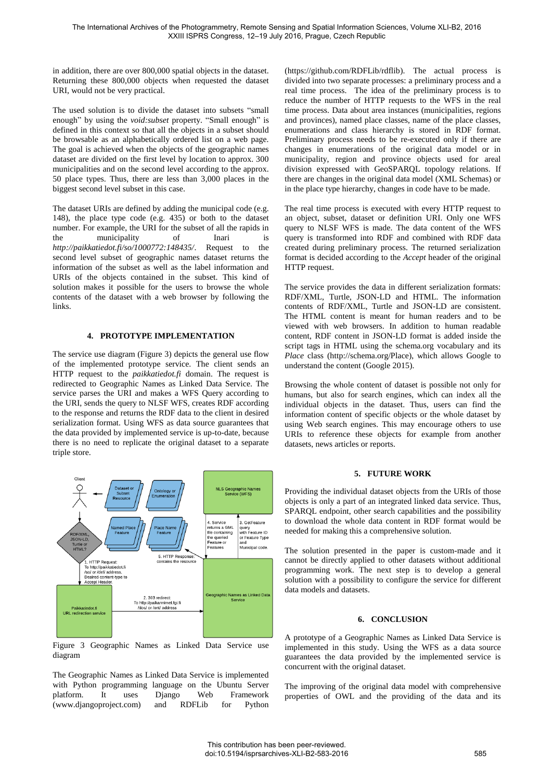in addition, there are over 800,000 spatial objects in the dataset. Returning these 800,000 objects when requested the dataset URI, would not be very practical.

The used solution is to divide the dataset into subsets "small enough" by using the *void:subset* property. "Small enough" is defined in this context so that all the objects in a subset should be browsable as an alphabetically ordered list on a web page. The goal is achieved when the objects of the geographic names dataset are divided on the first level by location to approx. 300 municipalities and on the second level according to the approx. 50 place types. Thus, there are less than 3,000 places in the biggest second level subset in this case.

The dataset URIs are defined by adding the municipal code (e.g. 148), the place type code (e.g. 435) or both to the dataset number. For example, the URI for the subset of all the rapids in the municipality of Inari is *http://paikkatiedot.fi/so/1000772:148435/*. Request to the second level subset of geographic names dataset returns the information of the subset as well as the label information and URIs of the objects contained in the subset. This kind of solution makes it possible for the users to browse the whole contents of the dataset with a web browser by following the links.

# **4. PROTOTYPE IMPLEMENTATION**

The service use diagram (Figure 3) depicts the general use flow of the implemented prototype service. The client sends an HTTP request to the *paikkatiedot.fi* domain. The request is redirected to Geographic Names as Linked Data Service. The service parses the URI and makes a WFS Query according to the URI, sends the query to NLSF WFS, creates RDF according to the response and returns the RDF data to the client in desired serialization format. Using WFS as data source guarantees that the data provided by implemented service is up-to-date, because there is no need to replicate the original dataset to a separate triple store.



Figure 3 Geographic Names as Linked Data Service use diagram

The Geographic Names as Linked Data Service is implemented with Python programming language on the Ubuntu Server platform. It uses Django Web Framework (www.djangoproject.com) and RDFLib for Python

(https://github.com/RDFLib/rdflib). The actual process is divided into two separate processes: a preliminary process and a real time process. The idea of the preliminary process is to reduce the number of HTTP requests to the WFS in the real time process. Data about area instances (municipalities, regions and provinces), named place classes, name of the place classes, enumerations and class hierarchy is stored in RDF format. Preliminary process needs to be re-executed only if there are changes in enumerations of the original data model or in municipality, region and province objects used for areal division expressed with GeoSPARQL topology relations. If there are changes in the original data model (XML Schemas) or in the place type hierarchy, changes in code have to be made.

The real time process is executed with every HTTP request to an object, subset, dataset or definition URI. Only one WFS query to NLSF WFS is made. The data content of the WFS query is transformed into RDF and combined with RDF data created during preliminary process. The returned serialization format is decided according to the *Accept* header of the original HTTP request.

The service provides the data in different serialization formats: RDF/XML, Turtle, JSON-LD and HTML. The information contents of RDF/XML, Turtle and JSON-LD are consistent. The HTML content is meant for human readers and to be viewed with web browsers. In addition to human readable content, RDF content in JSON-LD format is added inside the script tags in HTML using the schema.org vocabulary and its *Place* class (http://schema.org/Place), which allows Google to understand the content (Google 2015).

Browsing the whole content of dataset is possible not only for humans, but also for search engines, which can index all the individual objects in the dataset. Thus, users can find the information content of specific objects or the whole dataset by using Web search engines. This may encourage others to use URIs to reference these objects for example from another datasets, news articles or reports.

# **5. FUTURE WORK**

Providing the individual dataset objects from the URIs of those objects is only a part of an integrated linked data service. Thus, SPARQL endpoint, other search capabilities and the possibility to download the whole data content in RDF format would be needed for making this a comprehensive solution.

The solution presented in the paper is custom-made and it cannot be directly applied to other datasets without additional programming work. The next step is to develop a general solution with a possibility to configure the service for different data models and datasets.

# **6. CONCLUSION**

A prototype of a Geographic Names as Linked Data Service is implemented in this study. Using the WFS as a data source guarantees the data provided by the implemented service is concurrent with the original dataset.

The improving of the original data model with comprehensive properties of OWL and the providing of the data and its